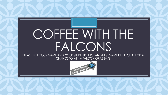# COFFEE WITH THE FALCONS

PLEASE TYPE YOUR NAME AND YOUR STUDENTS' FIRST AND LAST NAME IN THE CHAT FOR A CHANCE TO WIN A FALCON GRAB BAG

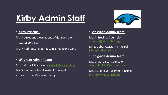### **Kirby Admin Staff**

#### • **Kirby Principal:**

Ms. S. Arredondo-earredondo@judsonisd.org

#### • **Social Worker:**

Ms. R Rodriguez- rrodriguez485@judsonisd.org

#### • **8 th grade Admin Team:**

Ms. C. Mitchell: Counselor- [cmitchell@judsonisd.org](mailto:cmitchell@judsonisd.org)

Ms. S. Harris-Stokes: Assistant Principal

• sharrisstokes@judsonisd.org



#### • **7th grade Admin Team:**

Ms. A. Trevino: Counselor[atrevino@judsonisd.org](mailto:atrevino@judsonisd.org)

Mr. J. Libby: Assistant Principal [jlibby@judsonisd.org](mailto:jlibby@judsonisd.org)

• **6th grade Admin Team:**

Ms. D. Gonzalez: Counselor[dgonzalez994@judsonisd.org](mailto:dgonzalez994@judsonisd.org)

Ms. M. Smiley: Assistant Principal[msmiley@judsonisd.org](mailto:msmiley@judsonisd.org)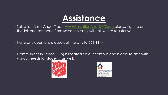

- Salvation Army Angel Tree [www.SalvationArmySATX.org](http://www.salvationarmysatx.org/) please sign up on the link and someone from Salvation Army will call you to register you.
- Have any questions please call me at 210-661-1147
- Communities in School (CIS) is located on our campus and is able to assit with various needs for students as well.



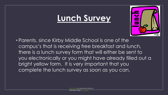### **Lunch Survey**



• Parents, since Kirby Middle School is one of the campus's that is receiving free breakfast and lunch, there is a lunch survey form that will either be sent to you electronically or you might have already filled out a bright yellow form. It is very important that you complete the lunch survey as soon as you can.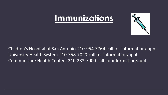#### **Immunizations**



Children's Hospital of San Antonio-210-954-3764-call for information/ appt. University Health System-210-358-7020-call for information/appt Communicare Health Centers-210-233-7000-call for information/appt.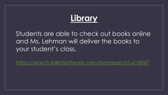### **Library**

#### Students are able to check out books online and Ms. Lehman will deliver the books to your student's class.

<https://search.follettsoftware.com/metasearch/ui/18967>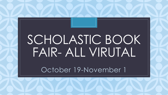# FAIR- ALL VIRUTAL SCHOLASTIC BOOK

October 19-November 1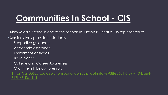### **Communities In School - CIS**

- Kirby Middle School is one of the schools in Judson ISD that a CIS representative.
- Services they provide to students:
	- Supportive guidance
	- Academic Assistance
	- Enrichment Activities
	- Basic Needs
	- College and Career Awareness
	- Click the link below to enroll:

[https://a100523.socialsolutionsportal.com/apricot-intake/08fec581-5f89-4ff0-bae4-](https://a100523.socialsolutionsportal.com/apricot-intake/08fec581-5f89-4ff0-bae4-717b48d0e1bd) 717b48d0e1bd